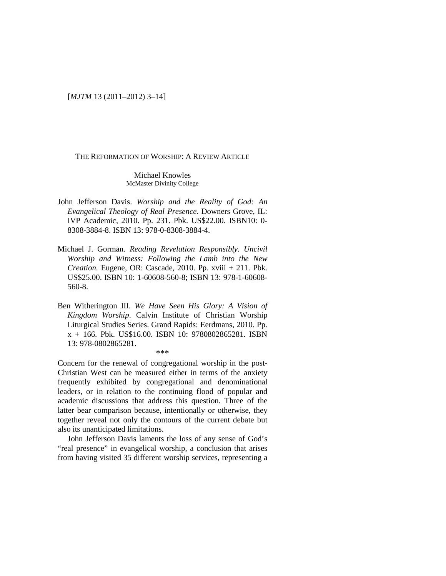[*MJTM* 13 (2011–2012) 3–14]

### THE REFORMATION OF WORSHIP: A REVIEW ARTICLE

#### Michael Knowles McMaster Divinity College

- John Jefferson Davis. *Worship and the Reality of God: An Evangelical Theology of Real Presence*. Downers Grove, IL: IVP Academic, 2010. Pp. 231. Pbk. US\$22.00. ISBN10: 0- 8308-3884-8. ISBN 13: 978-0-8308-3884-4.
- Michael J. Gorman. *Reading Revelation Responsibly. Uncivil Worship and Witness: Following the Lamb into the New Creation.* Eugene, OR: Cascade, 2010. Pp. xviii + 211. Pbk. US\$25.00. ISBN 10: 1-60608-560-8; ISBN 13: 978-1-60608- 560-8.
- Ben Witherington III. *We Have Seen His Glory: A Vision of Kingdom Worship*. Calvin Institute of Christian Worship Liturgical Studies Series. Grand Rapids: Eerdmans, 2010. Pp. x + 166. Pbk. US\$16.00. ISBN 10: 9780802865281. ISBN 13: 978-0802865281. \*\*\*

Concern for the renewal of congregational worship in the post-Christian West can be measured either in terms of the anxiety frequently exhibited by congregational and denominational leaders, or in relation to the continuing flood of popular and academic discussions that address this question. Three of the latter bear comparison because, intentionally or otherwise, they together reveal not only the contours of the current debate but also its unanticipated limitations.

John Jefferson Davis laments the loss of any sense of God's "real presence" in evangelical worship, a conclusion that arises from having visited 35 different worship services, representing a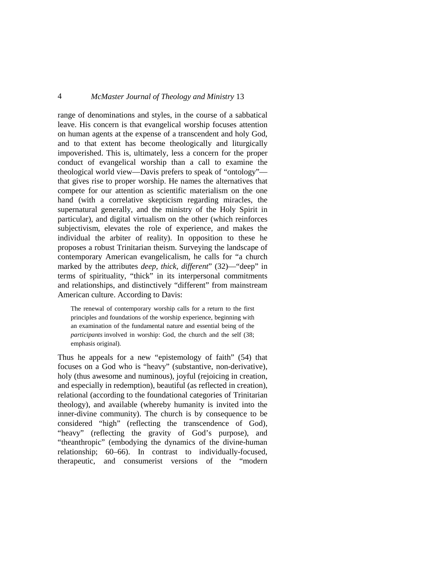range of denominations and styles, in the course of a sabbatical leave. His concern is that evangelical worship focuses attention on human agents at the expense of a transcendent and holy God, and to that extent has become theologically and liturgically impoverished. This is, ultimately, less a concern for the proper conduct of evangelical worship than a call to examine the theological world view—Davis prefers to speak of "ontology" that gives rise to proper worship. He names the alternatives that compete for our attention as scientific materialism on the one hand (with a correlative skepticism regarding miracles, the supernatural generally, and the ministry of the Holy Spirit in particular), and digital virtualism on the other (which reinforces subjectivism, elevates the role of experience, and makes the individual the arbiter of reality). In opposition to these he proposes a robust Trinitarian theism. Surveying the landscape of contemporary American evangelicalism, he calls for "a church marked by the attributes *deep, thick, different*" (32)—"deep" in terms of spirituality, "thick" in its interpersonal commitments and relationships, and distinctively "different" from mainstream American culture. According to Davis:

The renewal of contemporary worship calls for a return to the first principles and foundations of the worship experience, beginning with an examination of the fundamental nature and essential being of the *participants* involved in worship: God, the church and the self (38; emphasis original).

Thus he appeals for a new "epistemology of faith" (54) that focuses on a God who is "heavy" (substantive, non-derivative), holy (thus awesome and numinous), joyful (rejoicing in creation, and especially in redemption), beautiful (as reflected in creation), relational (according to the foundational categories of Trinitarian theology), and available (whereby humanity is invited into the inner-divine community). The church is by consequence to be considered "high" (reflecting the transcendence of God), "heavy" (reflecting the gravity of God's purpose), and "theanthropic" (embodying the dynamics of the divine-human relationship; 60–66). In contrast to individually-focused, therapeutic, and consumerist versions of the "modern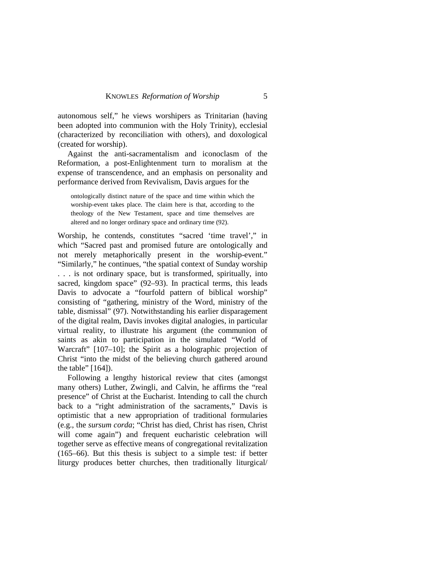autonomous self," he views worshipers as Trinitarian (having been adopted into communion with the Holy Trinity), ecclesial (characterized by reconciliation with others), and doxological (created for worship).

Against the anti-sacramentalism and iconoclasm of the Reformation, a post-Enlightenment turn to moralism at the expense of transcendence, and an emphasis on personality and performance derived from Revivalism, Davis argues for the

ontologically distinct nature of the space and time within which the worship-event takes place. The claim here is that, according to the theology of the New Testament, space and time themselves are altered and no longer ordinary space and ordinary time (92).

Worship, he contends, constitutes "sacred 'time travel'," in which "Sacred past and promised future are ontologically and not merely metaphorically present in the worship-event." "Similarly," he continues, "the spatial context of Sunday worship . . . is not ordinary space, but is transformed, spiritually, into sacred, kingdom space" (92–93). In practical terms, this leads Davis to advocate a "fourfold pattern of biblical worship" consisting of "gathering, ministry of the Word, ministry of the table, dismissal" (97). Notwithstanding his earlier disparagement of the digital realm, Davis invokes digital analogies, in particular virtual reality, to illustrate his argument (the communion of saints as akin to participation in the simulated "World of Warcraft" [107–10]; the Spirit as a holographic projection of Christ "into the midst of the believing church gathered around the table" [164]).

Following a lengthy historical review that cites (amongst many others) Luther, Zwingli, and Calvin, he affirms the "real presence" of Christ at the Eucharist. Intending to call the church back to a "right administration of the sacraments," Davis is optimistic that a new appropriation of traditional formularies (e.g., the *sursum corda*; "Christ has died, Christ has risen, Christ will come again") and frequent eucharistic celebration will together serve as effective means of congregational revitalization (165–66). But this thesis is subject to a simple test: if better liturgy produces better churches, then traditionally liturgical/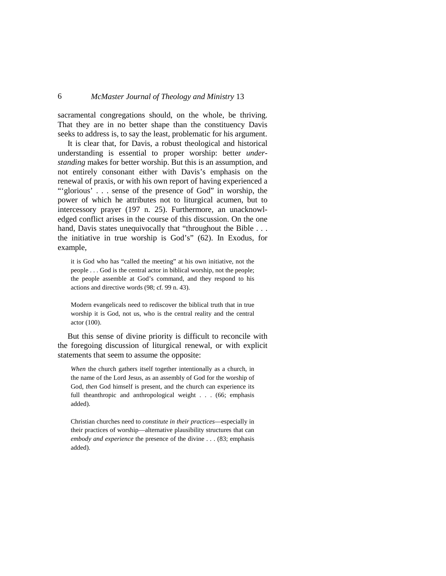sacramental congregations should, on the whole, be thriving. That they are in no better shape than the constituency Davis seeks to address is, to say the least, problematic for his argument.

It is clear that, for Davis, a robust theological and historical understanding is essential to proper worship: better *understanding* makes for better worship. But this is an assumption, and not entirely consonant either with Davis's emphasis on the renewal of praxis, or with his own report of having experienced a ""glorious"... sense of the presence of God" in worship, the power of which he attributes not to liturgical acumen, but to intercessory prayer (197 n. 25). Furthermore, an unacknowledged conflict arises in the course of this discussion. On the one hand, Davis states unequivocally that "throughout the Bible . . . the initiative in true worship is God's" (62). In Exodus, for example,

it is God who has "called the meeting" at his own initiative, not the people . . . God is the central actor in biblical worship, not the people; the people assemble at God's command, and they respond to his actions and directive words (98; cf. 99 n. 43).

Modern evangelicals need to rediscover the biblical truth that in true worship it is God, not us, who is the central reality and the central actor (100).

But this sense of divine priority is difficult to reconcile with the foregoing discussion of liturgical renewal, or with explicit statements that seem to assume the opposite:

*When* the church gathers itself together intentionally as a church, in the name of the Lord Jesus, as an assembly of God for the worship of God, *then* God himself is present, and the church can experience its full theanthropic and anthropological weight . . . (66; emphasis added).

Christian churches need to *constitute in their practices*—especially in their practices of worship—alternative plausibility structures that can *embody and experience* the presence of the divine . . . (83; emphasis added).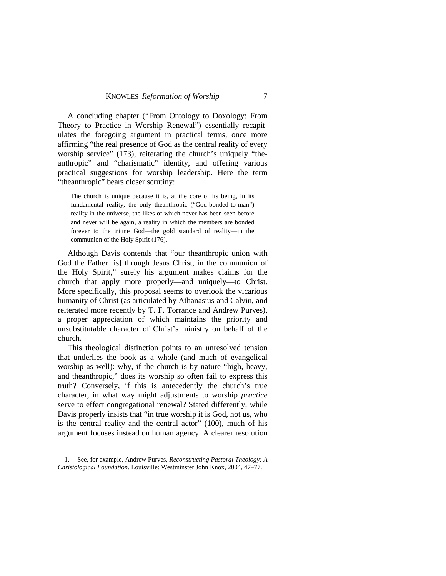A concluding chapter ("From Ontology to Doxology: From Theory to Practice in Worship Renewal") essentially recapitulates the foregoing argument in practical terms, once more affirming "the real presence of God as the central reality of every worship service" (173), reiterating the church's uniquely "theanthropic" and "charismatic" identity, and offering various practical suggestions for worship leadership. Here the term "theanthropic" bears closer scrutiny:

The church is unique because it is, at the core of its being, in its fundamental reality, the only theanthropic ("God-bonded-to-man") reality in the universe, the likes of which never has been seen before and never will be again, a reality in which the members are bonded forever to the triune God—the gold standard of reality—in the communion of the Holy Spirit (176).

Although Davis contends that "our theanthropic union with God the Father [is] through Jesus Christ, in the communion of the Holy Spirit," surely his argument makes claims for the church that apply more properly—and uniquely—to Christ. More specifically, this proposal seems to overlook the vicarious humanity of Christ (as articulated by Athanasius and Calvin, and reiterated more recently by T. F. Torrance and Andrew Purves), a proper appreciation of which maintains the priority and unsubstitutable character of Christ's ministry on behalf of the  $church<sup>1</sup>$  $church<sup>1</sup>$  $church<sup>1</sup>$ 

This theological distinction points to an unresolved tension that underlies the book as a whole (and much of evangelical worship as well): why, if the church is by nature "high, heavy, and theanthropic," does its worship so often fail to express this truth? Conversely, if this is antecedently the church's true character, in what way might adjustments to worship *practice* serve to effect congregational renewal? Stated differently, while Davis properly insists that "in true worship it is God, not us, who is the central reality and the central actor" (100), much of his argument focuses instead on human agency. A clearer resolution

<span id="page-4-0"></span><sup>1.</sup> See, for example, Andrew Purves, *Reconstructing Pastoral Theology: A Christological Foundation.* Louisville: Westminster John Knox, 2004, 47–77.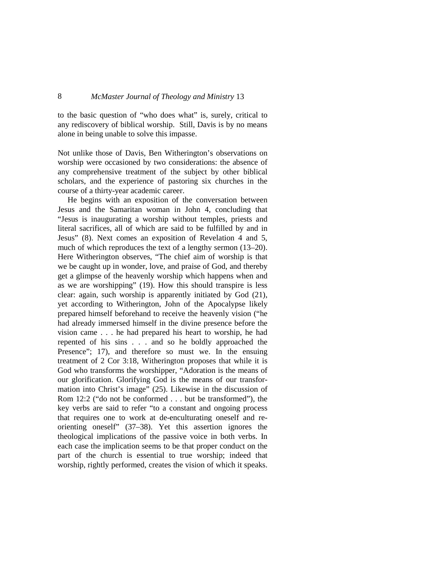to the basic question of "who does what" is, surely, critical to any rediscovery of biblical worship. Still, Davis is by no means alone in being unable to solve this impasse.

Not unlike those of Davis, Ben Witherington's observations on worship were occasioned by two considerations: the absence of any comprehensive treatment of the subject by other biblical scholars, and the experience of pastoring six churches in the course of a thirty-year academic career.

He begins with an exposition of the conversation between Jesus and the Samaritan woman in John 4, concluding that "Jesus is inaugurating a worship without temples, priests and literal sacrifices, all of which are said to be fulfilled by and in Jesus" (8). Next comes an exposition of Revelation 4 and 5, much of which reproduces the text of a lengthy sermon (13–20). Here Witherington observes, "The chief aim of worship is that we be caught up in wonder, love, and praise of God, and thereby get a glimpse of the heavenly worship which happens when and as we are worshipping" (19). How this should transpire is less clear: again, such worship is apparently initiated by God (21), yet according to Witherington, John of the Apocalypse likely prepared himself beforehand to receive the heavenly vision ("he had already immersed himself in the divine presence before the vision came . . . he had prepared his heart to worship, he had repented of his sins . . . and so he boldly approached the Presence"; 17), and therefore so must we. In the ensuing treatment of 2 Cor 3:18, Witherington proposes that while it is God who transforms the worshipper, "Adoration is the means of our glorification. Glorifying God is the means of our transformation into Christ's image" (25). Likewise in the discussion of Rom 12:2 ("do not be conformed . . . but be transformed"), the key verbs are said to refer "to a constant and ongoing process that requires one to work at de-enculturating oneself and reorienting oneself" (37–38). Yet this assertion ignores the theological implications of the passive voice in both verbs. In each case the implication seems to be that proper conduct on the part of the church is essential to true worship; indeed that worship, rightly performed, creates the vision of which it speaks.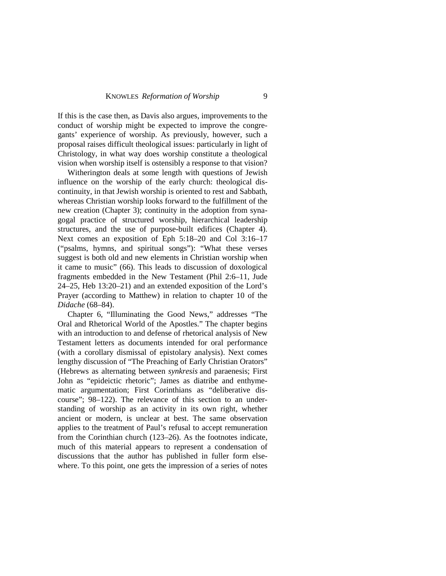If this is the case then, as Davis also argues, improvements to the conduct of worship might be expected to improve the congregants' experience of worship. As previously, however, such a proposal raises difficult theological issues: particularly in light of Christology, in what way does worship constitute a theological vision when worship itself is ostensibly a response to that vision?

Witherington deals at some length with questions of Jewish influence on the worship of the early church: theological discontinuity, in that Jewish worship is oriented to rest and Sabbath, whereas Christian worship looks forward to the fulfillment of the new creation (Chapter 3); continuity in the adoption from synagogal practice of structured worship, hierarchical leadership structures, and the use of purpose-built edifices (Chapter 4). Next comes an exposition of Eph 5:18–20 and Col 3:16–17 ("psalms, hymns, and spiritual songs"): "What these verses suggest is both old and new elements in Christian worship when it came to music" (66). This leads to discussion of doxological fragments embedded in the New Testament (Phil 2:6–11, Jude 24–25, Heb 13:20–21) and an extended exposition of the Lord's Prayer (according to Matthew) in relation to chapter 10 of the *Didache* (68–84).

Chapter 6, "Illuminating the Good News," addresses "The Oral and Rhetorical World of the Apostles." The chapter begins with an introduction to and defense of rhetorical analysis of New Testament letters as documents intended for oral performance (with a corollary dismissal of epistolary analysis). Next comes lengthy discussion of "The Preaching of Early Christian Orators" (Hebrews as alternating between *synkresis* and paraenesis; First John as "epideictic rhetoric"; James as diatribe and enthymematic argumentation; First Corinthians as "deliberative discourse"; 98–122). The relevance of this section to an understanding of worship as an activity in its own right, whether ancient or modern, is unclear at best. The same observation applies to the treatment of Paul's refusal to accept remuneration from the Corinthian church (123–26). As the footnotes indicate, much of this material appears to represent a condensation of discussions that the author has published in fuller form elsewhere. To this point, one gets the impression of a series of notes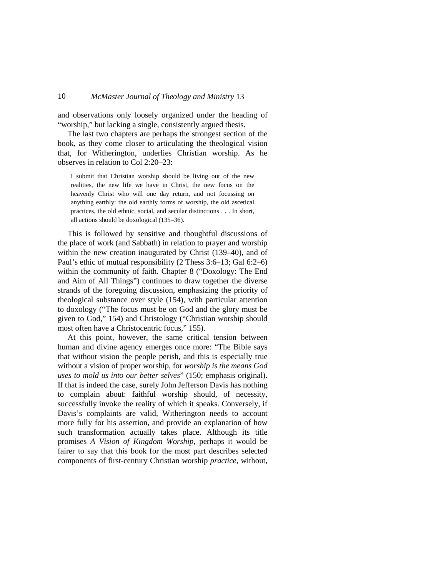and observations only loosely organized under the heading of "worship," but lacking a single, consistently argued thesis.

The last two chapters are perhaps the strongest section of the book, as they come closer to articulating the theological vision that, for Witherington, underlies Christian worship. As he observes in relation to Col 2:20–23:

I submit that Christian worship should be living out of the new realities, the new life we have in Christ, the new focus on the heavenly Christ who will one day return, and not focussing on anything earthly: the old earthly forms of worship, the old ascetical practices, the old ethnic, social, and secular distinctions . . . In short, all actions should be doxological (135–36).

This is followed by sensitive and thoughtful discussions of the place of work (and Sabbath) in relation to prayer and worship within the new creation inaugurated by Christ (139–40), and of Paul's ethic of mutual responsibility (2 Thess 3:6–13; Gal 6:2–6) within the community of faith. Chapter 8 ("Doxology: The End and Aim of All Things") continues to draw together the diverse strands of the foregoing discussion, emphasizing the priority of theological substance over style (154), with particular attention to doxology ("The focus must be on God and the glory must be given to God," 154) and Christology ("Christian worship should most often have a Christocentric focus," 155).

At this point, however, the same critical tension between human and divine agency emerges once more: "The Bible says that without vision the people perish, and this is especially true without a vision of proper worship, for *worship is the means God uses to mold us into our better selves*" (150; emphasis original). If that is indeed the case, surely John Jefferson Davis has nothing to complain about: faithful worship should, of necessity, successfully invoke the reality of which it speaks. Conversely, if Davis's complaints are valid, Witherington needs to account more fully for his assertion, and provide an explanation of how such transformation actually takes place. Although its title promises *A Vision of Kingdom Worship*, perhaps it would be fairer to say that this book for the most part describes selected components of first-century Christian worship *practice*, without,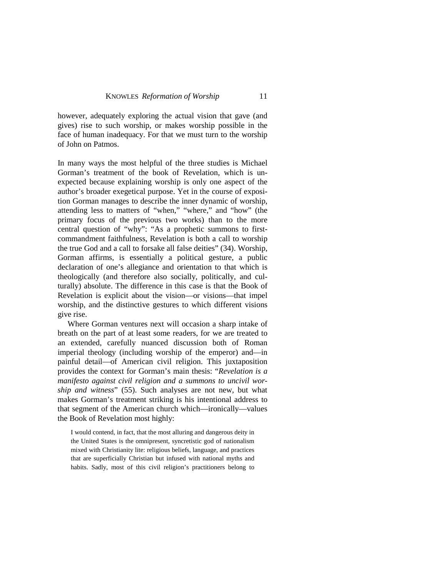however, adequately exploring the actual vision that gave (and gives) rise to such worship, or makes worship possible in the face of human inadequacy. For that we must turn to the worship of John on Patmos.

In many ways the most helpful of the three studies is Michael Gorman's treatment of the book of Revelation, which is unexpected because explaining worship is only one aspect of the author's broader exegetical purpose. Yet in the course of exposition Gorman manages to describe the inner dynamic of worship, attending less to matters of "when," "where," and "how" (the primary focus of the previous two works) than to the more central question of "why": "As a prophetic summons to firstcommandment faithfulness, Revelation is both a call to worship the true God and a call to forsake all false deities" (34). Worship, Gorman affirms, is essentially a political gesture, a public declaration of one's allegiance and orientation to that which is theologically (and therefore also socially, politically, and culturally) absolute. The difference in this case is that the Book of Revelation is explicit about the vision—or visions—that impel worship, and the distinctive gestures to which different visions give rise.

Where Gorman ventures next will occasion a sharp intake of breath on the part of at least some readers, for we are treated to an extended, carefully nuanced discussion both of Roman imperial theology (including worship of the emperor) and—in painful detail—of American civil religion. This juxtaposition provides the context for Gorman's main thesis: "*Revelation is a manifesto against civil religion and a summons to uncivil worship and witness*" (55). Such analyses are not new, but what makes Gorman's treatment striking is his intentional address to that segment of the American church which—ironically—values the Book of Revelation most highly:

I would contend, in fact, that the most alluring and dangerous deity in the United States is the omnipresent, syncretistic god of nationalism mixed with Christianity lite: religious beliefs, language, and practices that are superficially Christian but infused with national myths and habits. Sadly, most of this civil religion's practitioners belong to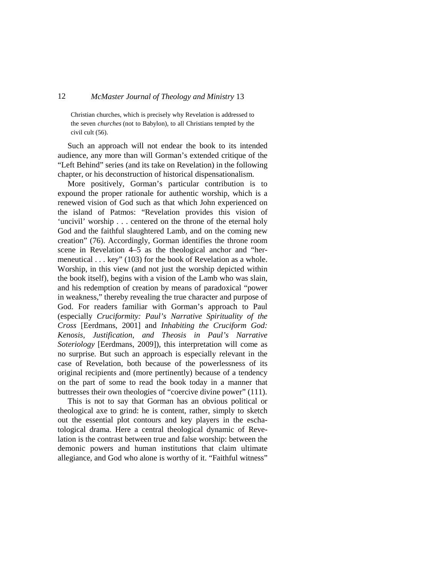Christian churches, which is precisely why Revelation is addressed to the seven *churches* (not to Babylon), to all Christians tempted by the civil cult (56).

Such an approach will not endear the book to its intended audience, any more than will Gorman's extended critique of the "Left Behind" series (and its take on Revelation) in the following chapter, or his deconstruction of historical dispensationalism.

More positively, Gorman's particular contribution is to expound the proper rationale for authentic worship, which is a renewed vision of God such as that which John experienced on the island of Patmos: "Revelation provides this vision of 'uncivil' worship . . . centered on the throne of the eternal holy God and the faithful slaughtered Lamb, and on the coming new creation" (76). Accordingly, Gorman identifies the throne room scene in Revelation 4–5 as the theological anchor and "hermeneutical . . . key" (103) for the book of Revelation as a whole. Worship, in this view (and not just the worship depicted within the book itself), begins with a vision of the Lamb who was slain, and his redemption of creation by means of paradoxical "power in weakness," thereby revealing the true character and purpose of God. For readers familiar with Gorman's approach to Paul (especially *Cruciformity: Paul's Narrative Spirituality of the Cross* [Eerdmans, 2001] and *Inhabiting the Cruciform God: Kenosis, Justification, and Theosis in Paul's Narrative Soteriology* [Eerdmans, 2009]), this interpretation will come as no surprise. But such an approach is especially relevant in the case of Revelation, both because of the powerlessness of its original recipients and (more pertinently) because of a tendency on the part of some to read the book today in a manner that buttresses their own theologies of "coercive divine power" (111).

This is not to say that Gorman has an obvious political or theological axe to grind: he is content, rather, simply to sketch out the essential plot contours and key players in the eschatological drama. Here a central theological dynamic of Revelation is the contrast between true and false worship: between the demonic powers and human institutions that claim ultimate allegiance, and God who alone is worthy of it. "Faithful witness"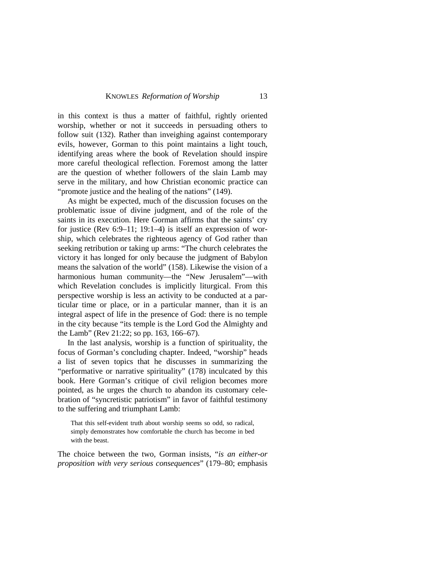in this context is thus a matter of faithful, rightly oriented worship, whether or not it succeeds in persuading others to follow suit (132). Rather than inveighing against contemporary evils, however, Gorman to this point maintains a light touch, identifying areas where the book of Revelation should inspire more careful theological reflection. Foremost among the latter are the question of whether followers of the slain Lamb may serve in the military, and how Christian economic practice can "promote justice and the healing of the nations" (149).

As might be expected, much of the discussion focuses on the problematic issue of divine judgment, and of the role of the saints in its execution. Here Gorman affirms that the saints' cry for justice (Rev 6:9–11; 19:1–4) is itself an expression of worship, which celebrates the righteous agency of God rather than seeking retribution or taking up arms: "The church celebrates the victory it has longed for only because the judgment of Babylon means the salvation of the world" (158). Likewise the vision of a harmonious human community—the "New Jerusalem"—with which Revelation concludes is implicitly liturgical. From this perspective worship is less an activity to be conducted at a particular time or place, or in a particular manner, than it is an integral aspect of life in the presence of God: there is no temple in the city because "its temple is the Lord God the Almighty and the Lamb" (Rev 21:22; so pp. 163, 166–67).

In the last analysis, worship is a function of spirituality, the focus of Gorman's concluding chapter. Indeed, "worship" heads a list of seven topics that he discusses in summarizing the "performative or narrative spirituality" (178) inculcated by this book. Here Gorman's critique of civil religion becomes more pointed, as he urges the church to abandon its customary celebration of "syncretistic patriotism" in favor of faithful testimony to the suffering and triumphant Lamb:

That this self-evident truth about worship seems so odd, so radical, simply demonstrates how comfortable the church has become in bed with the beast.

The choice between the two, Gorman insists, "*is an either-or proposition with very serious consequences*" (179–80; emphasis